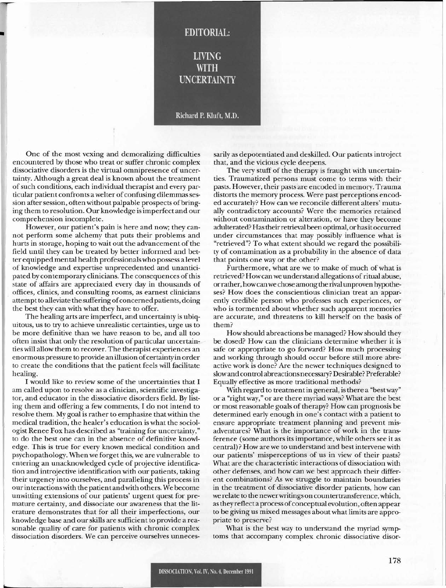## **LIVING WITH UNCERTAINTY**

**EDITORIAL:** 

## Richard P. Kluft, M.D.

One of the most vexing and demoralizing difficulties encountered by those who treat or suffer chronic complex dissociative disorders is the virtual omnipresence of uncertainty. Although a great deal is known about the treatment ofsuch conditions, each individual therapist and every particular patient confronts a welter of confusing dilemmas session after session, often without palpable prospects of bringing them to resolution. Our knowledge is imperfect and our comprehension incomplete.

•

**h--**

However, our patient's pain is here and now; they cannot perform some alchemy that puts their problems and hurts in storage, hoping to wait out the advancement of the field until they can be treated by better informed and better equipped mental health professionals who possess a level of knowledge and expertise unprecedented and unanticipated by contemporary clinicians. The consequences of this state of affairs are appreciated every day in thousands of offices, clinics, and consulting rooms, as earnest clinicians attempt to alleviate the suffering of concerned patients, doing the best they can with what they have to offer.

The healing arts are imperfect, and uncertainty is ubiquitous, us to try to achieve unrealistic certainties, urge us to be more definitive than we have reason to be, and all too often insist that only the resolution of particular uncertain; ties will allow them to recover. The therapist experiences an enormous pressure to provide an illusion of certainty in order to create the conditions that the patient feels will facilitate healing.

I would like to review some of the uncertainties that I am called upon to resolve as a clinician, scientific investigator, and educator in the dissociative disorders field. By listing them and offering a few comments, I do not intend to resolve them. My goal is rather to emphasize that within the medical tradition, the healer's education is what the sociologist Renee Fox has described as "training for uncertainty," to do the best one can in the absence of definitive knowledge. This is true for every known medical condition and psychopathology. When we forget this, we are vulnerable to entering an unacknowledged cycle of projective identification and introjective identification with our patients, taking their urgency into ourselves, and paralleling this process in ourinteractionswith the patient andwith others. We become unwitting extensions of our patients' urgent quest for premature certainty, and dissociate our awareness that the literature demonstrates that for all their imperfections, our knowledge base and ourskills are sufficient to provide a reasonable quality of care for patients with chronic complex dissociation disorders. We can perceive ourselves unnecessarilyas depotentiated and deskilled. Our patients introject that, and the vicious cycle deepens.

The very stuff of the therapy is fraught with uncertainties. Traumatized persons must come to terms with their . pasts. However, their pasts are encoded in memory. Trauma distorts the memory process. Were past perceptions encoded accurately? How can we reconcile different alters' mutually contradictory accounts? Were the memories retained without contamination or alteration, or have they become adulterated? Has their retrieval been optimal, or has it occurred under circumstances that may possibly influence what is "retrieved"? To what extent should we regard the possibility of contamination as a probability in the absence of data that points one way or the other?

Furthermore, what are we to make of much of what is retrieved? How can we understand allegations of ritual abuse, orrather, howcanwe chose among the rival unproven hypotheses? How does the conscientious clinician treat an apparently credible person who professes such experiences, or who is tormented about whether such apparent memories are accurate, and threatens to kill herself on the basis of them?

How should abreactions be managed? How should they be dosed? How can the clinicians determine whether it is safe or appropriate to go forward? How much processing and working through should occur before still more abreactive work is done? Are the newer techniques designed to slowand control abreactionsnecessary? Desirable? Preferable? Equally effective as more traditional methods?

With regard to treatment in general, is there a "bestway" or a "right way," or are there myriad ways? What are the best or most reasonable goals of therapy? How can prognosis be determined early enough in one's contact with a patient to ensure appropriate treatment planning and prevent misadventures? What is the importance of work in the transference (some authors its importance, while others see it as central)? How are we to understand and best intervene with our patients' misperceptions of us in view of their pasts? What are the characteristic interactions of dissociation with other defenses, and how can we best approach their different combinations? As we struggle to maintain boundaries in the treatment of dissociative disorder patients, how can we relate to the newerwritings on countertransference, which, as they reflect a process of conceptual evolution, often appear to be giving us mixed messages about what limits are appropriate to preserve?

What is the best way to understand the myriad symptoms that accompany complex chronic dissociative disor